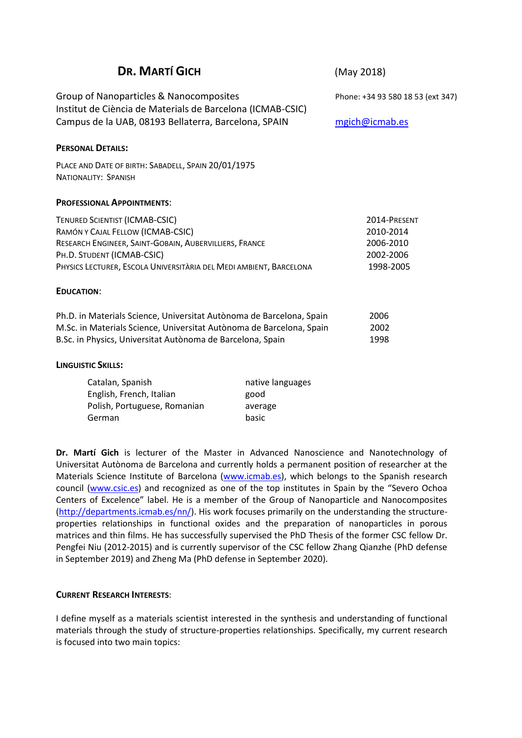| <b>DR. MARTÍ GICH</b>                                                                                 |                                          | (May 2018)                        |
|-------------------------------------------------------------------------------------------------------|------------------------------------------|-----------------------------------|
| Group of Nanoparticles & Nanocomposites<br>Institut de Ciència de Materials de Barcelona (ICMAB-CSIC) |                                          | Phone: +34 93 580 18 53 (ext 347) |
| Campus de la UAB, 08193 Bellaterra, Barcelona, SPAIN                                                  |                                          | mgich@icmab.es                    |
| <b>PERSONAL DETAILS:</b>                                                                              |                                          |                                   |
| PLACE AND DATE OF BIRTH: SABADELL, SPAIN 20/01/1975<br><b>NATIONALITY: SPANISH</b>                    |                                          |                                   |
| <b>PROFESSIONAL APPOINTMENTS:</b>                                                                     |                                          |                                   |
| TENURED SCIENTIST (ICMAB-CSIC)                                                                        |                                          | 2014-PRESENT                      |
| RAMÓN Y CAJAL FELLOW (ICMAB-CSIC)                                                                     |                                          | 2010-2014                         |
| RESEARCH ENGINEER, SAINT-GOBAIN, AUBERVILLIERS, FRANCE                                                |                                          | 2006-2010                         |
| PH.D. STUDENT (ICMAB-CSIC)                                                                            |                                          | 2002-2006                         |
| PHYSICS LECTURER, ESCOLA UNIVERSITÀRIA DEL MEDI AMBIENT, BARCELONA                                    |                                          | 1998-2005                         |
| <b>EDUCATION:</b>                                                                                     |                                          |                                   |
| Ph.D. in Materials Science, Universitat Autònoma de Barcelona, Spain                                  |                                          | 2006                              |
| M.Sc. in Materials Science, Universitat Autònoma de Barcelona, Spain                                  |                                          | 2002                              |
| B.Sc. in Physics, Universitat Autònoma de Barcelona, Spain                                            |                                          | 1998                              |
| <b>LINGUISTIC SKILLS:</b>                                                                             |                                          |                                   |
| Catalan, Spanish<br>Englich Eronch Italian                                                            | native languages<br>$\sim$ $\sim$ $\sim$ |                                   |

English, French, Italian good Polish, Portuguese, Romanian average German basic

**Dr. Martí Gich** is lecturer of the Master in Advanced Nanoscience and Nanotechnology of Universitat Autònoma de Barcelona and currently holds a permanent position of researcher at the Materials Science Institute of Barcelona [\(www.icmab.es\)](http://www.icmab.es/), which belongs to the Spanish research council [\(www.csic.es](http://www.csic.es/)) and recognized as one of the top institutes in Spain by the "Severo Ochoa Centers of Excelence" label. He is a member of the Group of Nanoparticle and Nanocomposites [\(http://departments.icmab.es/nn/\)](http://departments.icmab.es/nn/). His work focuses primarily on the understanding the structureproperties relationships in functional oxides and the preparation of nanoparticles in porous matrices and thin films. He has successfully supervised the PhD Thesis of the former CSC fellow Dr. Pengfei Niu (2012-2015) and is currently supervisor of the CSC fellow Zhang Qianzhe (PhD defense in September 2019) and Zheng Ma (PhD defense in September 2020).

#### **CURRENT RESEARCH INTERESTS**:

I define myself as a materials scientist interested in the synthesis and understanding of functional materials through the study of structure-properties relationships. Specifically, my current research is focused into two main topics: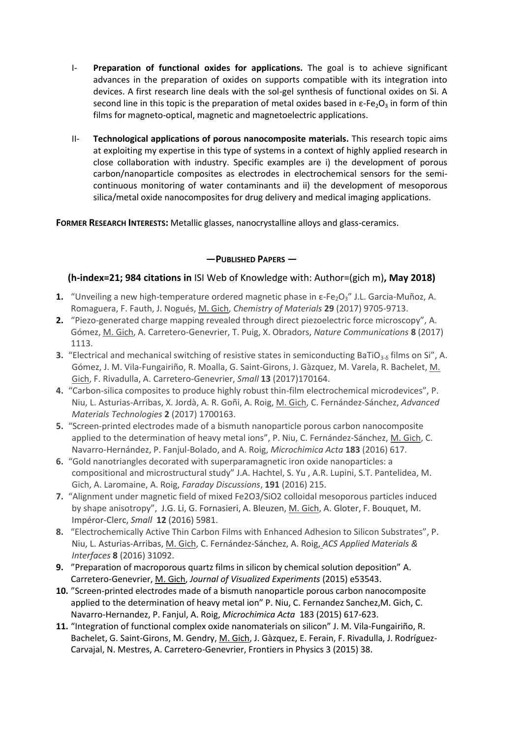- I- **Preparation of functional oxides for applications.** The goal is to achieve significant advances in the preparation of oxides on supports compatible with its integration into devices. A first research line deals with the sol-gel synthesis of functional oxides on Si. A second line in this topic is the preparation of metal oxides based in  $\varepsilon$ -Fe<sub>2</sub>O<sub>3</sub> in form of thin films for magneto-optical, magnetic and magnetoelectric applications.
- II- **Technological applications of porous nanocomposite materials.** This research topic aims at exploiting my expertise in this type of systems in a context of highly applied research in close collaboration with industry. Specific examples are i) the development of porous carbon/nanoparticle composites as electrodes in electrochemical sensors for the semicontinuous monitoring of water contaminants and ii) the development of mesoporous silica/metal oxide nanocomposites for drug delivery and medical imaging applications.

**FORMER RESEARCH INTERESTS:** Metallic glasses, nanocrystalline alloys and glass-ceramics.

### **—PUBLISHED PAPERS —**

### **(h-index=21; 984 citations in** ISI Web of Knowledge with: Author=(gich m)**, May 2018)**

- **1.** "Unveiling a new high-temperature ordered magnetic phase in ε-Fe<sub>2</sub>O<sub>3</sub>" J.L. Garcia-Muñoz, A. Romaguera, F. Fauth, J. Nogués, M. Gich, *Chemistry of Materials* **29** (2017) 9705-9713.
- **2.** "Piezo-generated charge mapping revealed through direct piezoelectric force microscopy", A. Gómez, M. Gich, A. Carretero-Genevrier, T. Puig, X. Obradors, *Nature Communications* **8** (2017) 1113.
- **3.** "Electrical and mechanical switching of resistive states in semiconducting BaTiO<sub>3-δ</sub> films on Si", A. Gómez, J. M. Vila-Fungairiño, R. Moalla, G. Saint-Girons, J. Gàzquez, M. Varela, R. Bachelet, M. Gich, F. Rivadulla, A. Carretero-Genevrier, *Small* **13** (2017)170164.
- **4.** "Carbon-silica composites to produce highly robust thin-film electrochemical microdevices", P. Niu, L. Asturias-Arribas, X. Jordà, A. R. Goñi, A. Roig, M. Gich, C. Fernández-Sánchez, *Advanced Materials Technologies* **2** (2017) 1700163.
- **5.** "Screen-printed electrodes made of a bismuth nanoparticle porous carbon nanocomposite applied to the determination of heavy metal ions", P. Niu, C. Fernández-Sánchez, M. Gich, C. Navarro-Hernández, P. Fanjul-Bolado, and A. Roig, *Microchimica Acta* **183** (2016) 617.
- **6.** "Gold nanotriangles decorated with superparamagnetic iron oxide nanoparticles: a compositional and microstructural study" J.A. Hachtel, S. Yu , A.R. Lupini, S.T. Pantelidea, M. Gich, A. Laromaine, A. Roig, *Faraday Discussions*, **191** (2016) 215.
- **7.** "Alignment under magnetic field of mixed Fe2O3/SiO2 colloidal mesoporous particles induced by shape anisotropy", J.G. Li, G. Fornasieri, A. Bleuzen, M. Gich, A. Gloter, F. Bouquet, M. Impéror-Clerc, *Small* **12** (2016) 5981.
- **8.** "Electrochemically Active Thin Carbon Films with Enhanced Adhesion to Silicon Substrates", P. Niu, L. Asturias-Arribas, M. Gich, C. Fernández-Sánchez, A. Roig, *ACS Applied Materials & Interfaces* **8** (2016) 31092.
- **9.** "Preparation of macroporous quartz films in silicon by chemical solution deposition" A. Carretero-Genevrier, M. Gich, *Journal of Visualized Experiments* (2015) e53543.
- **10.** "Screen-printed electrodes made of a bismuth nanoparticle porous carbon nanocomposite applied to the determination of heavy metal ion" P. Niu, C. Fernandez Sanchez,M. Gich, C. Navarro-Hernandez, P. Fanjul, A. Roig, *Microchimica Acta* 183 (2015) 617-623.
- **11.** "Integration of functional complex oxide nanomaterials on silicon" J. M. Vila-Fungairiño, R. Bachelet, G. Saint-Girons, M. Gendry, M. Gich, J. Gàzquez, E. Ferain, F. Rivadulla, J. Rodríguez-Carvajal, N. Mestres, A. Carretero-Genevrier, Frontiers in Physics 3 (2015) 38.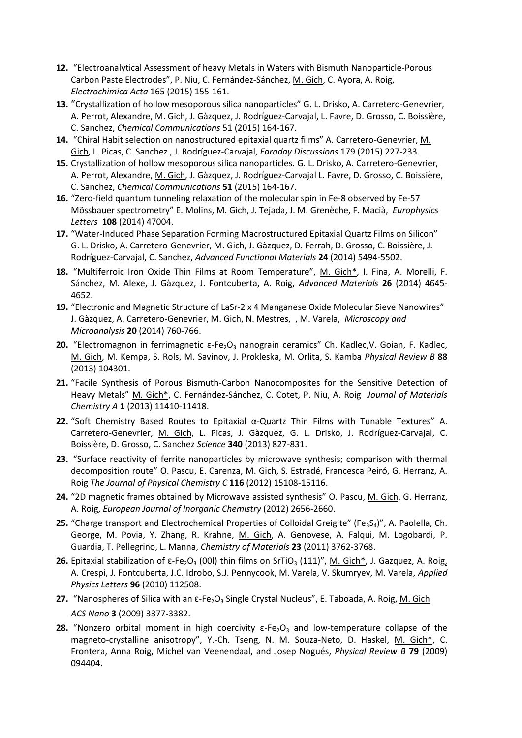- **12.** "Electroanalytical Assessment of heavy Metals in Waters with Bismuth Nanoparticle-Porous Carbon Paste Electrodes", P. Niu, C. Fernández-Sánchez, M. Gich, C. Ayora, A. Roig, *Electrochimica Acta* 165 (2015) 155-161.
- **13.** "[Crystallization of hollow mesoporous silica nanoparticles"](http://apps.webofknowledge.com/full_record.do?product=UA&search_mode=GeneralSearch&qid=5&SID=U1XWWROoxO3CLyEpdci&page=1&doc=1) G. L. Drisko, A. Carretero-Genevrier, A. Perrot, Alexandre, M. Gich, J. Gàzquez, J. Rodríguez-Carvajal, L. Favre, D. Grosso, C. Boissière, C. Sanchez, *Chemical Communications* 51 (2015) 164-167.
- **14.** "Chiral Habit selection on nanostructured epitaxial quartz films" A. Carretero-Genevrier, M. Gich, L. Picas, C. Sanchez , J. Rodríguez-Carvajal, *Faraday Discussions* 179 (2015) 227-233.
- **15.** [Crystallization of hollow mesoporous silica nanoparticles. G](http://apps.webofknowledge.com/full_record.do?product=UA&search_mode=GeneralSearch&qid=5&SID=U1XWWROoxO3CLyEpdci&page=1&doc=1). L. Drisko, A. Carretero-Genevrier, A. Perrot, Alexandre, M. Gich, J. Gàzquez, J. Rodríguez-Carvajal L. Favre, D. Grosso, C. Boissière, C. Sanchez, *Chemical Communications* **51** (2015) 164-167.
- **16.** "[Zero-field quantum tunneling relaxation of the molecular spin in Fe-8 observed by Fe-57](http://apps.webofknowledge.com/full_record.do?product=UA&search_mode=GeneralSearch&qid=5&SID=U1XWWROoxO3CLyEpdci&page=1&doc=2)  [Mössbauer spectrometry"](http://apps.webofknowledge.com/full_record.do?product=UA&search_mode=GeneralSearch&qid=5&SID=U1XWWROoxO3CLyEpdci&page=1&doc=2) E. Molins, M. Gich, J. Tejada, J. M. Grenèche, F. Macià, *Europhysics Letters* **108** (2014) 47004.
- **17.** "Water-[Induced Phase Separation Forming Macrostructured Epitaxial Quartz Films on Silicon"](http://apps.webofknowledge.com/full_record.do?product=UA&search_mode=GeneralSearch&qid=5&SID=U1XWWROoxO3CLyEpdci&page=1&doc=3) G. L. Drisko, A. Carretero-Genevrier, M. Gich, J. Gàzquez, D. Ferrah, D. Grosso, C. Boissière, J. Rodríguez-Carvajal, C. Sanchez, *Advanced Functional Materials* **24** (2014) 5494-5502.
- **18.** "Multiferroic Iron Oxide Thin Films at Room Temperature", M. Gich\*, I. Fina, A. Morelli, F. Sánchez, M. Alexe, J. Gàzquez, J. Fontcuberta, A. Roig, *Advanced Materials* **26** (2014) 4645- 4652.
- **19.** "[Electronic and Magnetic Structure of LaSr-2 x 4 Manganese Oxide Molecular Sieve Nanowires](http://apps.webofknowledge.com/full_record.do?product=UA&search_mode=GeneralSearch&qid=5&SID=U1XWWROoxO3CLyEpdci&page=1&doc=5)" J. Gàzquez, A. Carretero-Genevrier, M. Gich, N. Mestres, , M. Varela, *Microscopy and Microanalysis* **20** (2014) 760-766.
- **20.** "Electromagnon in ferrimagnetic ε-Fe<sub>2</sub>O<sub>3</sub> nanograin ceramics" Ch. Kadlec, V. Goian, F. Kadlec, M. Gich, M. Kempa, S. Rols, M. Savinov, J. Prokleska, M. Orlita, S. Kamba *Physical Review B* **88** (2013) 104301.
- **21.** "Facile Synthesis of Porous Bismuth-Carbon Nanocomposites for the Sensitive Detection of Heavy Metals" M. Gich\*, C. Fernández-Sánchez, C. Cotet, P. Niu, A. Roig *Journal of Materials Chemistry A* **1** (2013) 11410-11418.
- **22.** "Soft Chemistry Based Routes to Epitaxial α-Quartz Thin Films with Tunable Textures" A. Carretero-Genevrier, M. Gich, L. Picas, J. Gàzquez, G. L. Drisko, J. Rodríguez-Carvajal, C. Boissière, D. Grosso, C. Sanchez *Science* **340** (2013) 827-831.
- **23.** "Surface reactivity of ferrite nanoparticles by microwave synthesis; comparison with thermal decomposition route" O. Pascu, E. Carenza, M. Gich, S. Estradé, Francesca Peiró, G. Herranz, A. Roig *The Journal of Physical Chemistry C* **116** (2012) 15108-15116.
- **24.** "2D magnetic frames obtained by Microwave assisted synthesis" O. Pascu, M. Gich, G. Herranz, A. Roig, *European Journal of Inorganic Chemistry* (2012) 2656-2660.
- **25.** "Charge transport and Electrochemical Properties of Colloidal Greigite" (Fe<sub>3S4</sub>)", A. Paolella, Ch. George, M. Povia, Y. Zhang, R. Krahne, M. Gich, A. Genovese, A. Falqui, M. Logobardi, P. Guardia, T. Pellegrino, L. Manna, *Chemistry of Materials* **23** (2011) 3762-3768.
- **26.** Epitaxial stabilization of ε-Fe<sub>2</sub>O<sub>3</sub> (00l) thin films on SrTiO<sub>3</sub> (111)", M. Gich\*, J. Gazquez, A. Roig, A. Crespi, J. Fontcuberta, J.C. Idrobo, S.J. Pennycook, M. Varela, V. Skumryev, M. Varela, *Applied Physics Letters* **96** (2010) 112508.
- **27.** "Nanospheres of Silica with an ε-Fe<sub>2</sub>O<sub>3</sub> Single Crystal Nucleus", E. Taboada, A. Roig, M. Gich *ACS Nano* **3** (2009) 3377-3382.
- **28.** "Nonzero orbital moment in high coercivity  $\varepsilon$ -Fe<sub>2</sub>O<sub>3</sub> and low-temperature collapse of the magneto-crystalline anisotropy", Y.-Ch. Tseng, N. M. Souza-Neto, D. Haskel, M. Gich\*, C. Frontera, Anna Roig, Michel van Veenendaal, and Josep Nogués, *Physical Review B* **79** (2009) 094404.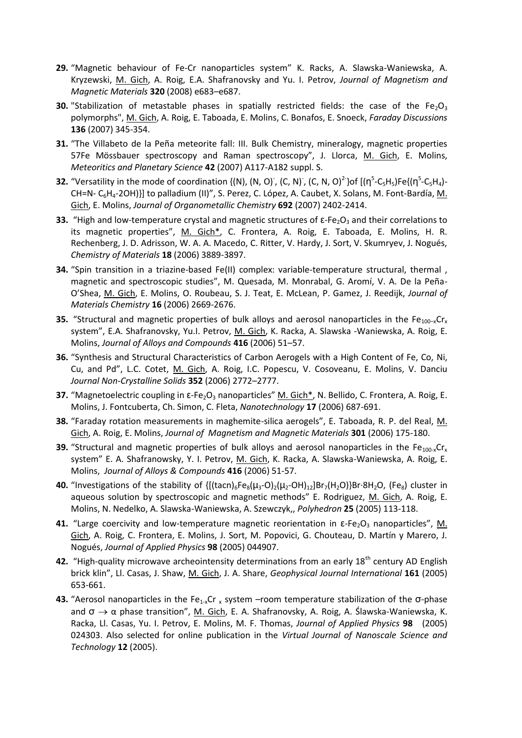- **29.** "Magnetic behaviour of Fe-Cr nanoparticles system" K. Racks, A. Slawska-Waniewska, A. Kryzewski, M. Gich, A. Roig, E.A. Shafranovsky and Yu. I. Petrov, *Journal of Magnetism and Magnetic Materials* **320** (2008) e683–e687.
- **30.** "Stabilization of metastable phases in spatially restricted fields: the case of the Fe<sub>2</sub>O<sub>3</sub> polymorphs", M. Gich, A. Roig, E. Taboada, E. Molins, C. Bonafos, E. Snoeck, *Faraday Discussions* **136** (2007) 345-354.
- **31.** "The Villabeto de la Peña meteorite fall: III. Bulk Chemistry, mineralogy, magnetic properties 57Fe Mössbauer spectroscopy and Raman spectroscopy", J. Llorca, M. Gich, E. Molins, *Meteoritics and Planetary Science* **42** (2007) A117-A182 suppl. S.
- **32.** "Versatility in the mode of coordination {(N), (N, O) , (C, N) , (C, N, O)<sup>2</sup> }of [(η<sup>5</sup>-C<sub>5</sub>H<sub>5</sub>)Fe{(η<sup>5</sup>-C<sub>5</sub>H<sub>4</sub>)-CH=N- C6H4-2OH)}] to palladium (II)", S. Perez, C. López, A. Caubet, X. Solans, M. Font-Bardía, M. Gich, E. Molins, *Journal of Organometallic Chemistry* **692** (2007) 2402-2414.
- **33.** "High and low-temperature crystal and magnetic structures of  $\epsilon$ -Fe<sub>2</sub>O<sub>3</sub> and their correlations to its magnetic properties", M. Gich\*, C. Frontera, A. Roig, E. Taboada, E. Molins, H. R. Rechenberg, J. D. Adrisson, W. A. A. Macedo, C. Ritter, V. Hardy, J. Sort, V. Skumryev, J. Nogués, *Chemistry of Materials* **18** (2006) 3889-3897.
- **34.** "Spin transition in a triazine-based Fe(II) complex: variable-temperature structural, thermal , magnetic and spectroscopic studies", M. Quesada, M. Monrabal, G. Aromí, V. A. De la Peña-O'Shea, M. Gich, E. Molins, O. Roubeau, S. J. Teat, E. McLean, P. Gamez, J. Reedijk, *Journal of Materials Chemistry* **16** (2006) 2669-2676.
- **35.** "Structural and magnetic properties of bulk alloys and aerosol nanoparticles in the Fe<sub>100-x</sub>Cr<sub>x</sub> svstem". E.A. Shafranovsky, Yu.I. Petrov, M. Gich, K. Racka, A. Slawska -Waniewska, A. Roig, E. Molins, *Journal of Alloys and Compounds* **416** (2006) 51–57.
- **36.** "Synthesis and Structural Characteristics of Carbon Aerogels with a High Content of Fe, Co, Ni, Cu, and Pd", L.C. Cotet, M. Gich, A. Roig, I.C. Popescu, V. Cosoveanu, E. Molins, V. Danciu *Journal Non-Crystalline Solids* **352** (2006) 2772–2777.
- **37.** "Magnetoelectric coupling in ε-Fe<sub>2</sub>O<sub>3</sub> nanoparticles" M. Gich<sup>\*</sup>, N. Bellido, C. Frontera, A. Roig, E. Molins, J. Fontcuberta, Ch. Simon, C. Fleta, *Nanotechnology* **17** (2006) 687-691.
- **38.** "Faraday rotation measurements in maghemite-silica aerogels", E. Taboada, R. P. del Real, M. Gich, A. Roig, E. Molins, *Journal of Magnetism and Magnetic Materials* **301** (2006) 175-180.
- **39.** "Structural and magnetic properties of bulk alloys and aerosol nanoparticles in the Fe<sub>100-x</sub>Cr<sub>x</sub> system" E. A. Shafranowsky, Y. I. Petrov, M. Gich, K. Racka, A. Slawska-Waniewska, A. Roig, E. Molins, *Journal of Alloys & Compounds* **416** (2006) 51-57.
- **40.** "Investigations of the stability of  $\{[(\text{tach})_6Fe_8(\mu_3-O)_2(\mu_2-OH)_{12}]Br_2(H_2O)\}Br_3H_2O$ ,  $(Fe_8)$  cluster in aqueous solution by spectroscopic and magnetic methods" E. Rodriguez, M. Gich, A. Roig, E. Molins, N. Nedelko, A. Slawska-Waniewska, A. Szewczyk,, *Polyhedron* **25** (2005) 113-118.
- **41.** "Large coercivity and low-temperature magnetic reorientation in  $\epsilon$ -Fe<sub>2</sub>O<sub>3</sub> nanoparticles", M. Gich, A. Roig, C. Frontera, E. Molins, J. Sort, M. Popovici, G. Chouteau, D. Martín y Marero, J. Nogués, *Journal of Applied Physics* **98** (2005) 044907.
- **42.** "High-quality microwave archeointensity determinations from an early 18<sup>th</sup> century AD English brick klin", Ll. Casas, J. Shaw, M. Gich, J. A. Share, *Geophysical Journal International* **161** (2005) 653-661.
- **43.** "Aerosol nanoparticles in the Fe<sub>1-x</sub>Cr <sub>x</sub> system –room temperature stabilization of the  $\sigma$ -phase and  $\sigma \rightarrow \alpha$  phase transition", M. Gich, E. A. Shafranovsky, A. Roig, A. Ślawska-Waniewska, K. Racka, Ll. Casas, Yu. I. Petrov, E. Molins, M. F. Thomas, *Journal of Applied Physics* **98** (2005) 024303. Also selected for online publication in the *Virtual Journal of Nanoscale Science and Technology* **12** (2005).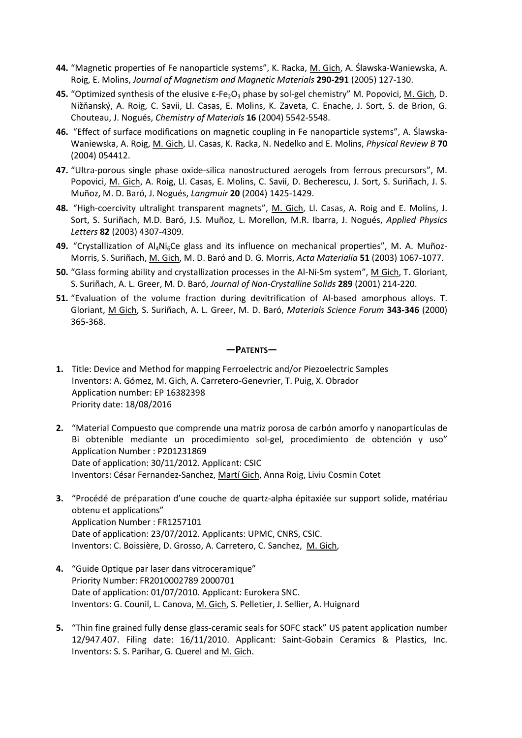- **44.** "Magnetic properties of Fe nanoparticle systems", K. Racka, M. Gich, A. Ślawska-Waniewska, A. Roig, E. Molins, *Journal of Magnetism and Magnetic Materials* **290-291** (2005) 127-130.
- **45.** "Optimized synthesis of the elusive ε-Fe<sub>2</sub>O<sub>3</sub> phase by sol-gel chemistry" M. Popovici, M. Gich, D. Nižňanský, A. Roig, C. Savii, Ll. Casas, E. Molins, K. Zaveta, C. Enache, J. Sort, S. de Brion, G. Chouteau, J. Nogués, *Chemistry of Materials* **16** (2004) 5542-5548.
- **46.** "Effect of surface modifications on magnetic coupling in Fe nanoparticle systems", A. Ślawska-Waniewska, A. Roig, M. Gich, Ll. Casas, K. Racka, N. Nedelko and E. Molins, *Physical Review B* **70** (2004) 054412.
- **47.** "Ultra-porous single phase oxide-silica nanostructured aerogels from ferrous precursors", M. Popovici, M. Gich, A. Roig, Ll. Casas, E. Molins, C. Savii, D. Becherescu, J. Sort, S. Suriñach, J. S. Muñoz, M. D. Baró, J. Nogués, *Langmuir* **20** (2004) 1425-1429.
- **48.** "High-coercivity ultralight transparent magnets", M. Gich, Ll. Casas, A. Roig and E. Molins, J. Sort, S. Suriñach, M.D. Baró, J.S. Muñoz, L. Morellon, M.R. Ibarra, J. Nogués, *Applied Physics Letters* **82** (2003) 4307-4309.
- **49.** "Crystallization of Al<sub>4</sub>Ni<sub>6</sub>Ce glass and its influence on mechanical properties", M. A. Muñoz-Morris, S. Suriñach, M. Gich, M. D. Baró and D. G. Morris, *Acta Materialia* **51** (2003) 1067-1077.
- **50.** "Glass forming ability and crystallization processes in the Al-Ni-Sm system", M Gich, T. Gloriant, S. Suriñach, A. L. Greer, M. D. Baró, *Journal of Non-Crystalline Solids* **289** (2001) 214-220.
- **51.** "Evaluation of the volume fraction during devitrification of Al-based amorphous alloys. T. Gloriant, M Gich, S. Suriñach, A. L. Greer, M. D. Baró, *Materials Science Forum* **343-346** (2000) 365-368.

#### **—PATENTS—**

- **1.** Title: Device and Method for mapping Ferroelectric and/or Piezoelectric Samples Inventors: A. Gómez, M. Gich, A. Carretero-Genevrier, T. Puig, X. Obrador Application number: EP 16382398 Priority date: 18/08/2016
- **2.** "Material Compuesto que comprende una matriz porosa de carbón amorfo y nanopartículas de Bi obtenible mediante un procedimiento sol-gel, procedimiento de obtención y uso" Application Number : P201231869 Date of application: 30/11/2012. Applicant: CSIC Inventors: César Fernandez-Sanchez, Martí Gich, Anna Roig, Liviu Cosmin Cotet
- **3.** "Procédé de préparation d'une couche de quartz-alpha épitaxiée sur support solide, matériau obtenu et applications" Application Number : FR1257101 Date of application: 23/07/2012. Applicants: UPMC, CNRS, CSIC. Inventors: C. Boissière, D. Grosso, A. Carretero, C. Sanchez, M. Gich,
- **4.** "Guide Optique par laser dans vitroceramique" Priority Number: FR2010002789 2000701 Date of application: 01/07/2010. Applicant: Eurokera SNC. Inventors: G. Counil, L. Canova, M. Gich, S. Pelletier, J. Sellier, A. Huignard
- **5.** "Thin fine grained fully dense glass-ceramic seals for SOFC stack" US patent application number 12/947.407. Filing date: 16/11/2010. Applicant: Saint-Gobain Ceramics & Plastics, Inc. Inventors: S. S. Parihar, G. Querel and M. Gich.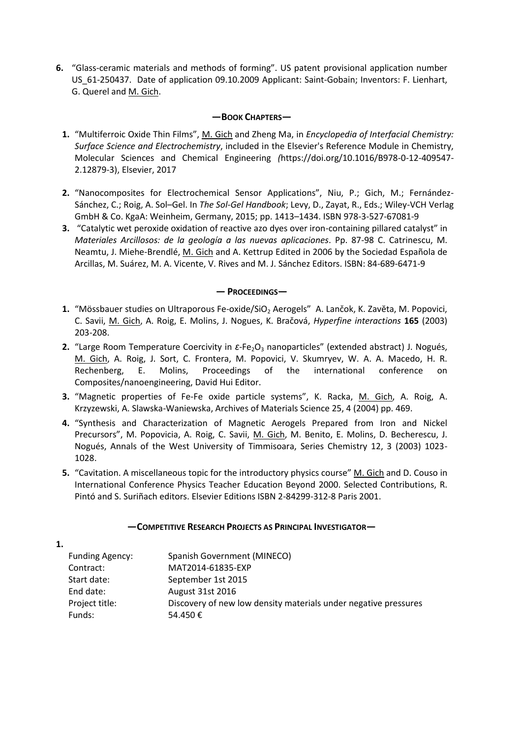**6.** "Glass-ceramic materials and methods of forming". US patent provisional application number US 61-250437. Date of application 09.10.2009 Applicant: Saint-Gobain; Inventors: F. Lienhart, G. Querel and M. Gich.

#### **—BOOK CHAPTERS—**

- **1.** "Multiferroic Oxide Thin Films", M. Gich and Zheng Ma, in *Encyclopedia of Interfacial Chemistry: Surface Science and Electrochemistry*, included in the Elsevier's Reference Module in Chemistry, Molecular Sciences and Chemical Engineering *(*[https://doi.org/10.1016/B978-0-12-409547-](https://doi.org/10.1016/B978-0-12-409547-2.12879-3) [2.12879-3\)](https://doi.org/10.1016/B978-0-12-409547-2.12879-3), Elsevier, 2017
- **2.** "Nanocomposites for Electrochemical Sensor Applications", Niu, P.; Gich, M.; Fernández-Sánchez, C.; Roig, A. Sol–Gel. In *The Sol-Gel Handbook*; Levy, D., Zayat, R., Eds.; Wiley-VCH Verlag GmbH & Co. KgaA: Weinheim, Germany, 2015; pp. 1413–1434. ISBN 978-3-527-67081-9
- **3.** "Catalytic wet peroxide oxidation of reactive azo dyes over iron-containing pillared catalyst" in *Materiales Arcillosos: de la geología a las nuevas aplicaciones*. Pp. 87-98 C. Catrinescu, M. Neamtu, J. Miehe-Brendlé, M. Gich and A. Kettrup Edited in 2006 by the Sociedad Española de Arcillas, M. Suárez, M. A. Vicente, V. Rives and M. J. Sánchez Editors. ISBN: 84-689-6471-9

#### **— PROCEEDINGS—**

- 1. "Mössbauer studies on Ultraporous Fe-oxide/SiO<sub>2</sub> Aerogels" A. Lančok, K. Zavěta, M. Popovici, C. Savii, M. Gich, A. Roig, E. Molins, J. Nogues, K. Bračová, *Hyperfine interactions* **165** (2003) 203-208.
- **2.** "Large Room Temperature Coercivity in ε-Fe<sub>2</sub>O<sub>3</sub> nanoparticles" (extended abstract) J. Nogués, M. Gich, A. Roig, J. Sort, C. Frontera, M. Popovici, V. Skumryev, W. A. A. Macedo, H. R. Rechenberg, E. Molins, Proceedings of the international conference on Composites/nanoengineering, David Hui Editor.
- **3.** "Magnetic properties of Fe-Fe oxide particle systems", K. Racka, M. Gich, A. Roig, A. Krzyzewski, A. Slawska-Waniewska, Archives of Materials Science 25, 4 (2004) pp. 469.
- **4.** "Synthesis and Characterization of Magnetic Aerogels Prepared from Iron and Nickel Precursors", M. Popovicia, A. Roig, C. Savii, M. Gich, M. Benito, E. Molins, D. Becherescu, J. Nogués, Annals of the West University of Timmisoara, Series Chemistry 12, 3 (2003) 1023- 1028.
- **5.** "Cavitation. A miscellaneous topic for the introductory physics course" M. Gich and D. Couso in International Conference Physics Teacher Education Beyond 2000. Selected Contributions, R. Pintó and S. Suriñach editors. Elsevier Editions ISBN 2-84299-312-8 Paris 2001.

#### **—COMPETITIVE RESEARCH PROJECTS AS PRINCIPAL INVESTIGATOR—**

| 1. |                        |                                                                 |
|----|------------------------|-----------------------------------------------------------------|
|    | <b>Funding Agency:</b> | Spanish Government (MINECO)                                     |
|    | Contract:              | MAT2014-61835-EXP                                               |
|    | Start date:            | September 1st 2015                                              |
|    | End date:              | August 31st 2016                                                |
|    | Project title:         | Discovery of new low density materials under negative pressures |
|    | Funds:                 | 54.450€                                                         |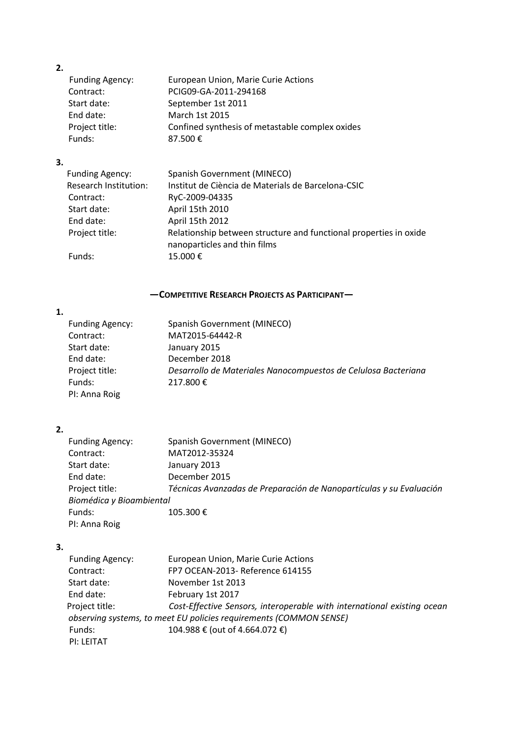# **2.**

| -- |                        |                                                 |
|----|------------------------|-------------------------------------------------|
|    | <b>Funding Agency:</b> | European Union, Marie Curie Actions             |
|    | Contract:              | PCIG09-GA-2011-294168                           |
|    | Start date:            | September 1st 2011                              |
|    | End date:              | March 1st 2015                                  |
|    | Project title:         | Confined synthesis of metastable complex oxides |
|    | Funds:                 | 87.500€                                         |
|    |                        |                                                 |

## **3.**

| <b>Funding Agency:</b>       | Spanish Government (MINECO)                                                                       |
|------------------------------|---------------------------------------------------------------------------------------------------|
| <b>Research Institution:</b> | Institut de Ciència de Materials de Barcelona-CSIC                                                |
| Contract:                    | RyC-2009-04335                                                                                    |
| Start date:                  | April 15th 2010                                                                                   |
| End date:                    | April 15th 2012                                                                                   |
| Project title:               | Relationship between structure and functional properties in oxide<br>nanoparticles and thin films |
| Funds:                       | 15.000€                                                                                           |

# **—COMPETITIVE RESEARCH PROJECTS AS PARTICIPANT—**

# **1.**

| <b>Funding Agency:</b> | Spanish Government (MINECO)                                    |
|------------------------|----------------------------------------------------------------|
| Contract:              | MAT2015-64442-R                                                |
| Start date:            | January 2015                                                   |
| End date:              | December 2018                                                  |
| Project title:         | Desarrollo de Materiales Nanocompuestos de Celulosa Bacteriana |
| Funds:                 | 217.800€                                                       |
| PI: Anna Roig          |                                                                |
|                        |                                                                |

# **2.**

| Spanish Government (MINECO)                                         |
|---------------------------------------------------------------------|
| MAT2012-35324                                                       |
| January 2013                                                        |
| December 2015                                                       |
| Técnicas Avanzadas de Preparación de Nanopartículas y su Evaluación |
| Biomédica y Bioambiental                                            |
| 105.300€                                                            |
|                                                                     |
|                                                                     |

### **3.**

| <b>Funding Agency:</b> | European Union, Marie Curie Actions                                     |
|------------------------|-------------------------------------------------------------------------|
| Contract:              | FP7 OCEAN-2013- Reference 614155                                        |
| Start date:            | November 1st 2013                                                       |
| End date:              | February 1st 2017                                                       |
| Project title:         | Cost-Effective Sensors, interoperable with international existing ocean |
|                        | observing systems, to meet EU policies requirements (COMMON SENSE)      |
| Funds:                 | 104.988 € (out of 4.664.072 €)                                          |
| <b>PI: LFITAT</b>      |                                                                         |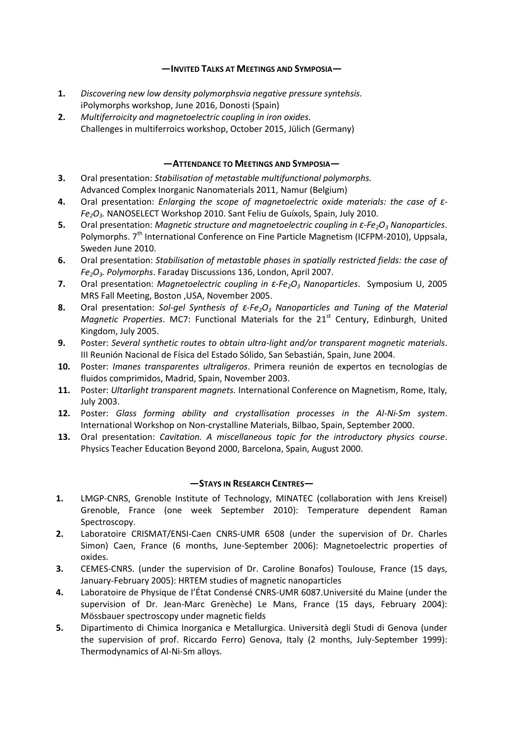#### **—INVITED TALKS AT MEETINGS AND SYMPOSIA—**

- **1.** *Discovering new low density polymorphsvia negative pressure syntehsis.* iPolymorphs workshop, June 2016, Donosti (Spain)
- **2.** *Multiferroicity and magnetoelectric coupling in iron oxides.* Challenges in multiferroics workshop, October 2015, Jülich (Germany)

### **—ATTENDANCE TO MEETINGS AND SYMPOSIA—**

- **3.** Oral presentation: *Stabilisation of metastable multifunctional polymorphs.* Advanced Complex Inorganic Nanomaterials 2011, Namur (Belgium)
- **4.** Oral presentation: *Enlarging the scope of magnetoelectric oxide materials: the case of ε-Fe2O3.* NANOSELECT Workshop 2010. Sant Feliu de Guíxols, Spain, July 2010.
- **5.** Oral presentation: *Magnetic structure and magnetoelectric coupling in ε-Fe2O<sup>3</sup> Nanoparticles*. Polymorphs. 7<sup>th</sup> International Conference on Fine Particle Magnetism (ICFPM-2010), Uppsala, Sweden June 2010.
- **6.** Oral presentation: *Stabilisation of metastable phases in spatially restricted fields: the case of Fe2O3. Polymorphs*. Faraday Discussions 136, London, April 2007.
- **7.** Oral presentation: *Magnetoelectric coupling in ε-Fe2O<sup>3</sup> Nanoparticles*. Symposium U, 2005 MRS Fall Meeting, Boston ,USA, November 2005.
- **8.** Oral presentation: *Sol-gel Synthesis of ε-Fe2O<sup>3</sup> Nanoparticles and Tuning of the Material Magnetic Properties*. MC7: Functional Materials for the 21<sup>st</sup> Century, Edinburgh, United Kingdom, July 2005.
- **9.** Poster: *Several synthetic routes to obtain ultra-light and/or transparent magnetic materials*. III Reunión Nacional de Física del Estado Sólido, San Sebastián, Spain, June 2004.
- **10.** Poster: *Imanes transparentes ultraligeros*. Primera reunión de expertos en tecnologías de fluidos comprimidos, Madrid, Spain, November 2003.
- **11.** Poster: *Ultarlight transparent magnets.* International Conference on Magnetism, Rome, Italy, July 2003.
- **12.** Poster: *Glass forming ability and crystallisation processes in the Al-Ni-Sm system*. International Workshop on Non-crystalline Materials, Bilbao, Spain, September 2000.
- **13.** Oral presentation: *Cavitation. A miscellaneous topic for the introductory physics course*. Physics Teacher Education Beyond 2000, Barcelona, Spain, August 2000.

### *—***STAYS IN RESEARCH CENTRES***—*

- **1.** LMGP-CNRS, Grenoble Institute of Technology, MINATEC (collaboration with Jens Kreisel) Grenoble, France (one week September 2010): Temperature dependent Raman Spectroscopy.
- **2.** Laboratoire CRISMAT/ENSI-Caen CNRS-UMR 6508 (under the supervision of Dr. Charles Simon) Caen, France (6 months, June-September 2006): Magnetoelectric properties of oxides.
- **3.** CEMES-CNRS. (under the supervision of Dr. Caroline Bonafos) Toulouse, France (15 days, January-February 2005): HRTEM studies of magnetic nanoparticles
- **4.** Laboratoire de Physique de l'État Condensé CNRS-UMR 6087.Université du Maine (under the supervision of Dr. Jean-Marc Grenèche) Le Mans, France (15 days, February 2004): Mössbauer spectroscopy under magnetic fields
- **5.** Dipartimento di Chimica Inorganica e Metallurgica. Università degli Studi di Genova (under the supervision of prof. Riccardo Ferro) Genova, Italy (2 months, July-September 1999): Thermodynamics of Al-Ni-Sm alloys.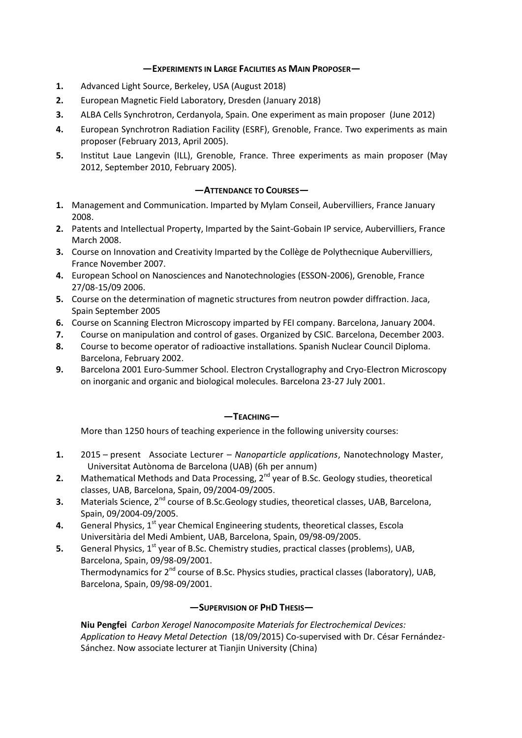#### **—EXPERIMENTS IN LARGE FACILITIES AS MAIN PROPOSER—**

- **1.** Advanced Light Source, Berkeley, USA (August 2018)
- **2.** European Magnetic Field Laboratory, Dresden (January 2018)
- **3.** ALBA Cells Synchrotron, Cerdanyola, Spain. One experiment as main proposer (June 2012)
- **4.** European Synchrotron Radiation Facility (ESRF), Grenoble, France. Two experiments as main proposer (February 2013, April 2005).
- **5.** Institut Laue Langevin (ILL), Grenoble, France. Three experiments as main proposer (May 2012, September 2010, February 2005).

#### *—***ATTENDANCE TO COURSES***—*

- **1.** Management and Communication. Imparted by Mylam Conseil, Aubervilliers, France January 2008.
- **2.** Patents and Intellectual Property, Imparted by the Saint-Gobain IP service, Aubervilliers, France March 2008.
- **3.** Course on Innovation and Creativity Imparted by the Collège de Polythecnique Aubervilliers, France November 2007.
- **4.** European School on Nanosciences and Nanotechnologies (ESSON-2006), Grenoble, France 27/08-15/09 2006.
- **5.** Course on the determination of magnetic structures from neutron powder diffraction. Jaca, Spain September 2005
- **6.** Course on Scanning Electron Microscopy imparted by FEI company. Barcelona, January 2004.
- **7.** Course on manipulation and control of gases. Organized by CSIC. Barcelona, December 2003.
- **8.** Course to become operator of radioactive installations. Spanish Nuclear Council Diploma. Barcelona, February 2002.
- **9.** Barcelona 2001 Euro-Summer School. Electron Crystallography and Cryo-Electron Microscopy on inorganic and organic and biological molecules. Barcelona 23-27 July 2001.

### *—***TEACHING***—*

More than 1250 hours of teaching experience in the following university courses:

- **1.** 2015 present Associate Lecturer *Nanoparticle applications*, Nanotechnology Master, Universitat Autònoma de Barcelona (UAB) (6h per annum)
- **2.** Mathematical Methods and Data Processing, 2<sup>nd</sup> year of B.Sc. Geology studies, theoretical classes, UAB, Barcelona, Spain, 09/2004-09/2005.
- **3.** Materials Science, 2<sup>nd</sup> course of B.Sc.Geology studies, theoretical classes, UAB, Barcelona, Spain, 09/2004-09/2005.
- **4.** General Physics, 1<sup>st</sup> year Chemical Engineering students, theoretical classes, Escola Universitària del Medi Ambient, UAB, Barcelona, Spain, 09/98-09/2005.
- **5.** General Physics, 1<sup>st</sup> year of B.Sc. Chemistry studies, practical classes (problems), UAB, Barcelona, Spain, 09/98-09/2001. Thermodynamics for 2<sup>nd</sup> course of B.Sc. Physics studies, practical classes (laboratory), UAB, Barcelona, Spain, 09/98-09/2001.

#### **—SUPERVISION OF PHD THESIS—**

**Niu Pengfei** *Carbon Xerogel Nanocomposite Materials for Electrochemical Devices: Application to Heavy Metal Detection* (18/09/2015) Co-supervised with Dr. César Fernández-Sánchez. Now associate lecturer at Tianjin University (China)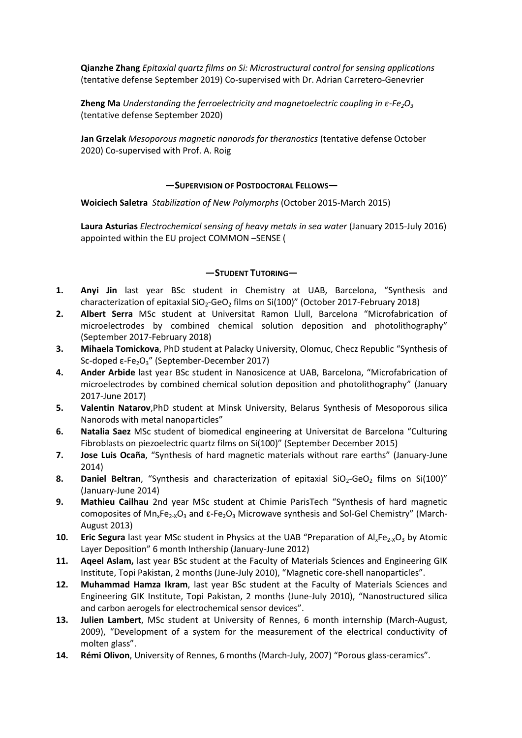**Qianzhe Zhang** *Epitaxial quartz films on Si: Microstructural control for sensing applications* (tentative defense September 2019) Co-supervised with Dr. Adrian Carretero-Genevrier

**Zheng Ma** *Understanding the ferroelectricity and magnetoelectric coupling in ε-Fe2O<sup>3</sup>* (tentative defense September 2020)

**Jan Grzelak** *Mesoporous magnetic nanorods for theranostics* (tentative defense October 2020) Co-supervised with Prof. A. Roig

#### **—SUPERVISION OF POSTDOCTORAL FELLOWS—**

**Woiciech Saletra** *Stabilization of New Polymorphs* (October 2015-March 2015)

**Laura Asturias** *Electrochemical sensing of heavy metals in sea water* (January 2015-July 2016) appointed within the EU project COMMON –SENSE (

#### **—STUDENT TUTORING—**

- **1. Anyi Jin** last year BSc student in Chemistry at UAB, Barcelona, "Synthesis and characterization of epitaxial SiO<sub>2</sub>-GeO<sub>2</sub> films on Si(100)" (October 2017-February 2018)
- **2. Albert Serra** MSc student at Universitat Ramon Llull, Barcelona "Microfabrication of microelectrodes by combined chemical solution deposition and photolithography" (September 2017-February 2018)
- **3. Mihaela Tomickova**, PhD student at Palacky University, Olomuc, Checz Republic "Synthesis of Sc-doped ε-Fe<sub>2</sub>O<sub>3</sub>" (September-December 2017)
- **4. Ander Arbide** last year BSc student in Nanosicence at UAB, Barcelona, "Microfabrication of microelectrodes by combined chemical solution deposition and photolithography" (January 2017-June 2017)
- **5. Valentin Natarov**,PhD student at Minsk University, Belarus Synthesis of Mesoporous silica Nanorods with metal nanoparticles"
- **6. Natalia Saez** MSc student of biomedical engineering at Universitat de Barcelona "Culturing Fibroblasts on piezoelectric quartz films on Si(100)" (September December 2015)
- **7. Jose Luis Ocaña**, "Synthesis of hard magnetic materials without rare earths" (January-June 2014)
- **8. Daniel Beltran**, "Synthesis and characterization of epitaxial SiO<sub>2</sub>-GeO<sub>2</sub> films on Si(100)" (January-June 2014)
- **9. Mathieu Cailhau** 2nd year MSc student at Chimie ParisTech "Synthesis of hard magnetic comoposites of  $Mn_xFe_{2x}O_3$  and  $\epsilon$ -Fe<sub>2</sub>O<sub>3</sub> Microwave synthesis and Sol-Gel Chemistry" (March-August 2013)
- **10. Eric Segura** last year MSc student in Physics at the UAB "Preparation of Al<sub>x</sub>Fe<sub>2-X</sub>O<sub>3</sub> by Atomic Layer Deposition" 6 month Inthership (January-June 2012)
- **11. Aqeel Aslam,** last year BSc student at the Faculty of Materials Sciences and Engineering GIK Institute, Topi Pakistan, 2 months (June-July 2010), "Magnetic core-shell nanoparticles".
- **12. Muhammad Hamza Ikram**, last year BSc student at the Faculty of Materials Sciences and Engineering GIK Institute, Topi Pakistan, 2 months (June-July 2010), "Nanostructured silica and carbon aerogels for electrochemical sensor devices".
- **13. Julien Lambert**, MSc student at University of Rennes, 6 month internship (March-August, 2009), "Development of a system for the measurement of the electrical conductivity of molten glass".
- **14. Rémi Olivon**, University of Rennes, 6 months (March-July, 2007) "Porous glass-ceramics".